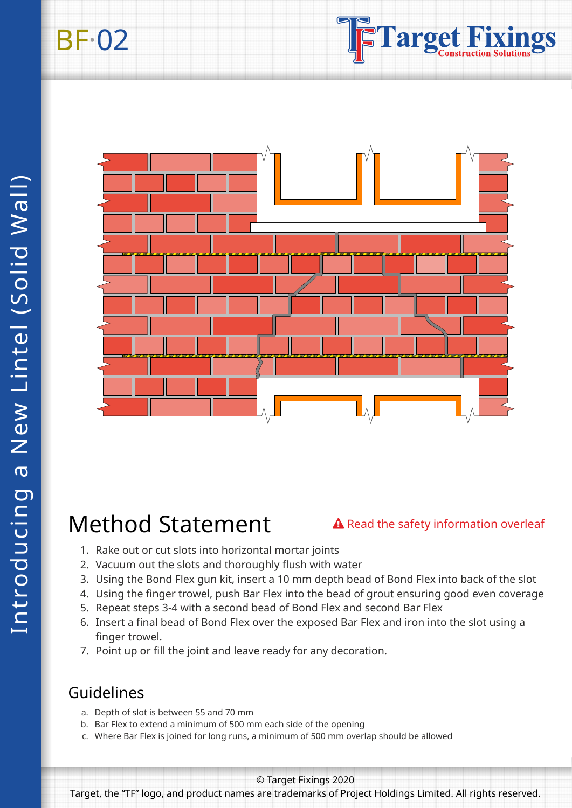



# Method Statement

#### A Read the safety information overleaf

- 1. Rake out or cut slots into horizontal mortar joints
- 2. Vacuum out the slots and thoroughly flush with water
- 3. Using the Bond Flex gun kit, insert a 10 mm depth bead of Bond Flex into back of the slot
- 4. Using the finger trowel, push Bar Flex into the bead of grout ensuring good even coverage
- 5. Repeat steps 3-4 with a second bead of Bond Flex and second Bar Flex
- 6. Insert a final bead of Bond Flex over the exposed Bar Flex and iron into the slot using a finger trowel.
- 7. Point up or fill the joint and leave ready for any decoration.

### Guidelines

- a. Depth of slot is between 55 and 70 mm
- b. Bar Flex to extend a minimum of 500 mm each side of the opening
- c. Where Bar Flex is joined for long runs, a minimum of 500 mm overlap should be allowed

© Target Fixings 2020

Target, the "TF" logo, and product names are trademarks of Project Holdings Limited. All rights reserved.